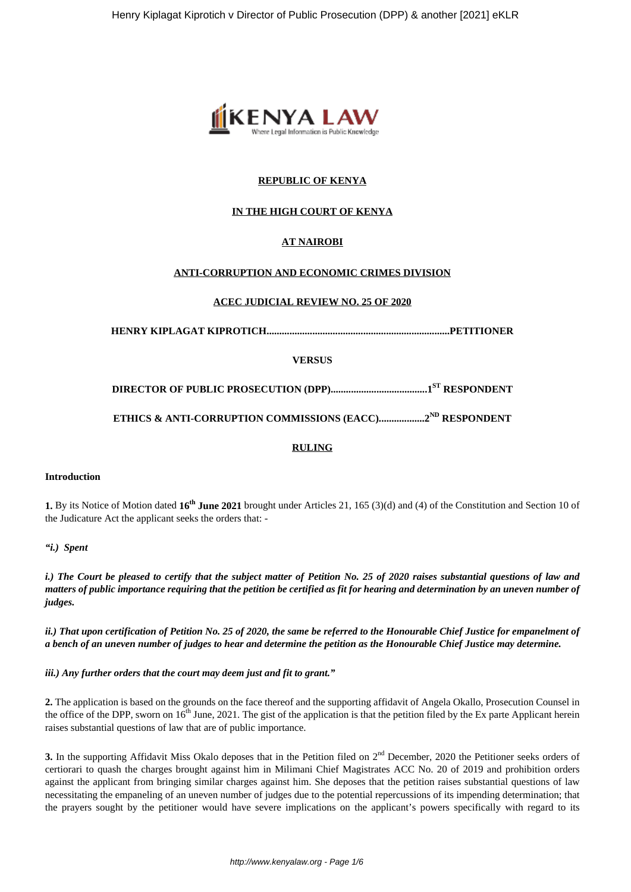

# **REPUBLIC OF KENYA**

# **IN THE HIGH COURT OF KENYA**

# **AT NAIROBI**

## **ANTI-CORRUPTION AND ECONOMIC CRIMES DIVISION**

## **ACEC JUDICIAL REVIEW NO. 25 OF 2020**

**HENRY KIPLAGAT KIPROTICH........................................................................PETITIONER**

## **VERSUS**

**DIRECTOR OF PUBLIC PROSECUTION (DPP)......................................1ST RESPONDENT**

**ETHICS & ANTI-CORRUPTION COMMISSIONS (EACC)..................2ND RESPONDENT**

### **RULING**

#### **Introduction**

**1.** By its Notice of Motion dated **16th June 2021** brought under Articles 21, 165 (3)(d) and (4) of the Constitution and Section 10 of the Judicature Act the applicant seeks the orders that: -

#### *"i.) Spent*

*i.) The Court be pleased to certify that the subject matter of Petition No. 25 of 2020 raises substantial questions of law and matters of public importance requiring that the petition be certified as fit for hearing and determination by an uneven number of judges.*

*ii.) That upon certification of Petition No. 25 of 2020, the same be referred to the Honourable Chief Justice for empanelment of a bench of an uneven number of judges to hear and determine the petition as the Honourable Chief Justice may determine.*

*iii.) Any further orders that the court may deem just and fit to grant."*

**2.** The application is based on the grounds on the face thereof and the supporting affidavit of Angela Okallo, Prosecution Counsel in the office of the DPP, sworn on  $16<sup>th</sup>$  June, 2021. The gist of the application is that the petition filed by the Ex parte Applicant herein raises substantial questions of law that are of public importance.

**3.** In the supporting Affidavit Miss Okalo deposes that in the Petition filed on  $2<sup>nd</sup>$  December, 2020 the Petitioner seeks orders of certiorari to quash the charges brought against him in Milimani Chief Magistrates ACC No. 20 of 2019 and prohibition orders against the applicant from bringing similar charges against him. She deposes that the petition raises substantial questions of law necessitating the empaneling of an uneven number of judges due to the potential repercussions of its impending determination; that the prayers sought by the petitioner would have severe implications on the applicant's powers specifically with regard to its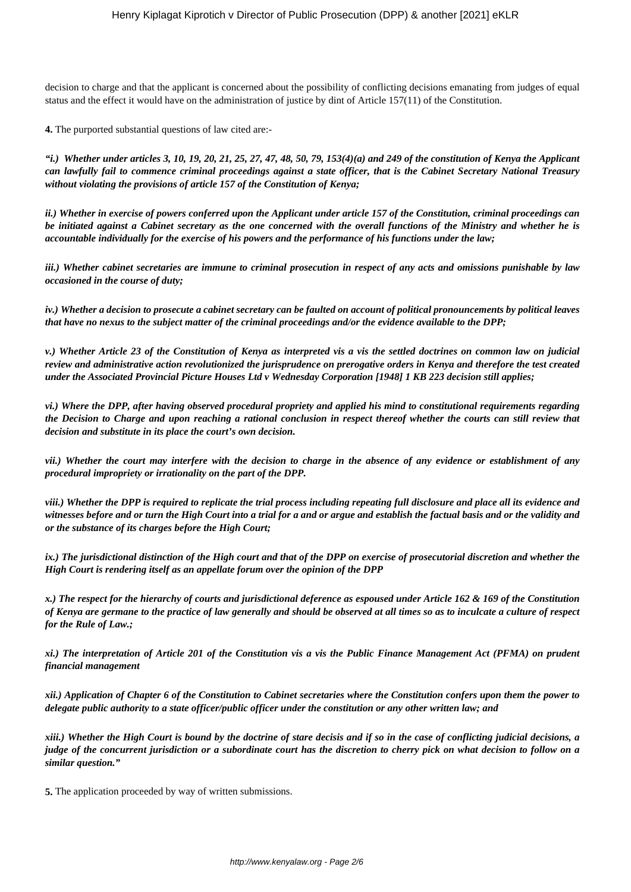decision to charge and that the applicant is concerned about the possibility of conflicting decisions emanating from judges of equal status and the effect it would have on the administration of justice by dint of Article 157(11) of the Constitution.

**4.** The purported substantial questions of law cited are:-

*"i.) Whether under articles 3, 10, 19, 20, 21, 25, 27, 47, 48, 50, 79, 153(4)(a) and 249 of the constitution of Kenya the Applicant can lawfully fail to commence criminal proceedings against a state officer, that is the Cabinet Secretary National Treasury without violating the provisions of article 157 of the Constitution of Kenya;*

*ii.) Whether in exercise of powers conferred upon the Applicant under article 157 of the Constitution, criminal proceedings can be initiated against a Cabinet secretary as the one concerned with the overall functions of the Ministry and whether he is accountable individually for the exercise of his powers and the performance of his functions under the law;*

*iii.) Whether cabinet secretaries are immune to criminal prosecution in respect of any acts and omissions punishable by law occasioned in the course of duty;*

*iv.) Whether a decision to prosecute a cabinet secretary can be faulted on account of political pronouncements by political leaves that have no nexus to the subject matter of the criminal proceedings and/or the evidence available to the DPP;*

*v.) Whether Article 23 of the Constitution of Kenya as interpreted vis a vis the settled doctrines on common law on judicial review and administrative action revolutionized the jurisprudence on prerogative orders in Kenya and therefore the test created under the Associated Provincial Picture Houses Ltd v Wednesday Corporation [1948] 1 KB 223 decision still applies;*

*vi.) Where the DPP, after having observed procedural propriety and applied his mind to constitutional requirements regarding the Decision to Charge and upon reaching a rational conclusion in respect thereof whether the courts can still review that decision and substitute in its place the court's own decision.*

*vii.) Whether the court may interfere with the decision to charge in the absence of any evidence or establishment of any procedural impropriety or irrationality on the part of the DPP.* 

*viii.) Whether the DPP is required to replicate the trial process including repeating full disclosure and place all its evidence and witnesses before and or turn the High Court into a trial for a and or argue and establish the factual basis and or the validity and or the substance of its charges before the High Court;*

*ix.) The jurisdictional distinction of the High court and that of the DPP on exercise of prosecutorial discretion and whether the High Court is rendering itself as an appellate forum over the opinion of the DPP*

*x.) The respect for the hierarchy of courts and jurisdictional deference as espoused under Article 162 & 169 of the Constitution of Kenya are germane to the practice of law generally and should be observed at all times so as to inculcate a culture of respect for the Rule of Law.;*

*xi.) The interpretation of Article 201 of the Constitution vis a vis the Public Finance Management Act (PFMA) on prudent financial management*

*xii.) Application of Chapter 6 of the Constitution to Cabinet secretaries where the Constitution confers upon them the power to delegate public authority to a state officer/public officer under the constitution or any other written law; and*

*xiii.) Whether the High Court is bound by the doctrine of stare decisis and if so in the case of conflicting judicial decisions, a judge of the concurrent jurisdiction or a subordinate court has the discretion to cherry pick on what decision to follow on a similar question."*

**5.** The application proceeded by way of written submissions.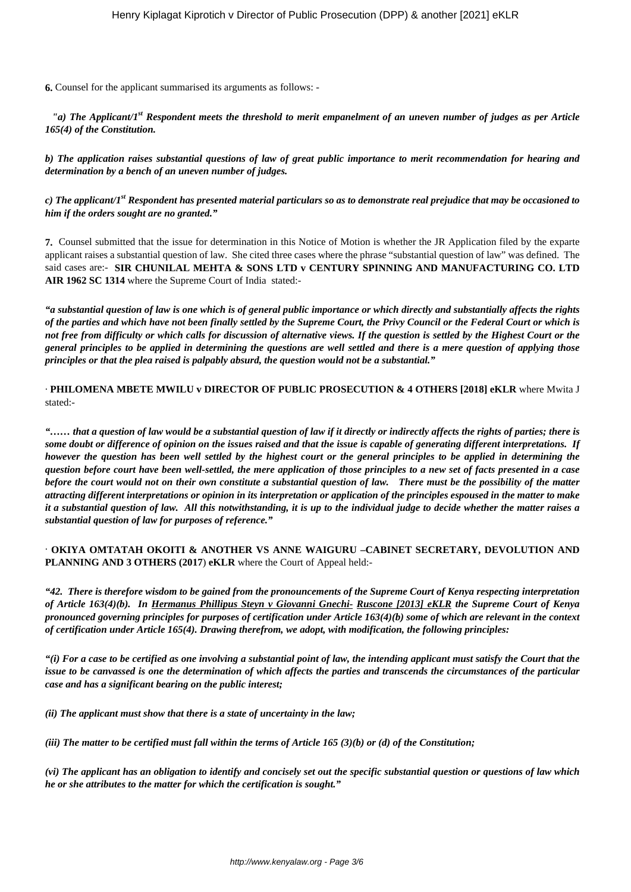**6.** Counsel for the applicant summarised its arguments as follows: -

*"a) The Applicant/1st Respondent meets the threshold to merit empanelment of an uneven number of judges as per Article 165(4) of the Constitution.*

*b) The application raises substantial questions of law of great public importance to merit recommendation for hearing and determination by a bench of an uneven number of judges.*

*c) The applicant/1st Respondent has presented material particulars so as to demonstrate real prejudice that may be occasioned to him if the orders sought are no granted."*

**7.** Counsel submitted that the issue for determination in this Notice of Motion is whether the JR Application filed by the exparte applicant raises a substantial question of law. She cited three cases where the phrase "substantial question of law" was defined. The said cases are:- **SIR CHUNILAL MEHTA & SONS LTD v CENTURY SPINNING AND MANUFACTURING CO. LTD AIR 1962 SC 1314** where the Supreme Court of India stated:-

*"a substantial question of law is one which is of general public importance or which directly and substantially affects the rights of the parties and which have not been finally settled by the Supreme Court, the Privy Council or the Federal Court or which is not free from difficulty or which calls for discussion of alternative views. If the question is settled by the Highest Court or the general principles to be applied in determining the questions are well settled and there is a mere question of applying those principles or that the plea raised is palpably absurd, the question would not be a substantial."*

· **PHILOMENA MBETE MWILU v DIRECTOR OF PUBLIC PROSECUTION & 4 OTHERS [2018] eKLR** where Mwita J stated:-

*"…… that a question of law would be a substantial question of law if it directly or indirectly affects the rights of parties; there is some doubt or difference of opinion on the issues raised and that the issue is capable of generating different interpretations. If however the question has been well settled by the highest court or the general principles to be applied in determining the question before court have been well-settled, the mere application of those principles to a new set of facts presented in a case before the court would not on their own constitute a substantial question of law. There must be the possibility of the matter attracting different interpretations or opinion in its interpretation or application of the principles espoused in the matter to make it a substantial question of law. All this notwithstanding, it is up to the individual judge to decide whether the matter raises a substantial question of law for purposes of reference."*

### · **OKIYA OMTATAH OKOITI & ANOTHER VS ANNE WAIGURU –CABINET SECRETARY, DEVOLUTION AND PLANNING AND 3 OTHERS (2017**) **eKLR** where the Court of Appeal held:-

*"42. There is therefore wisdom to be gained from the pronouncements of the Supreme Court of Kenya respecting interpretation of Article 163(4)(b). In Hermanus Phillipus Steyn v Giovanni Gnechi- Ruscone [2013] eKLR the Supreme Court of Kenya pronounced governing principles for purposes of certification under Article 163(4)(b) some of which are relevant in the context of certification under Article 165(4). Drawing therefrom, we adopt, with modification, the following principles:*

*"(i) For a case to be certified as one involving a substantial point of law, the intending applicant must satisfy the Court that the issue to be canvassed is one the determination of which affects the parties and transcends the circumstances of the particular case and has a significant bearing on the public interest;*

*(ii) The applicant must show that there is a state of uncertainty in the law;*

*(iii) The matter to be certified must fall within the terms of Article 165 (3)(b) or (d) of the Constitution;*

*(vi) The applicant has an obligation to identify and concisely set out the specific substantial question or questions of law which he or she attributes to the matter for which the certification is sought."*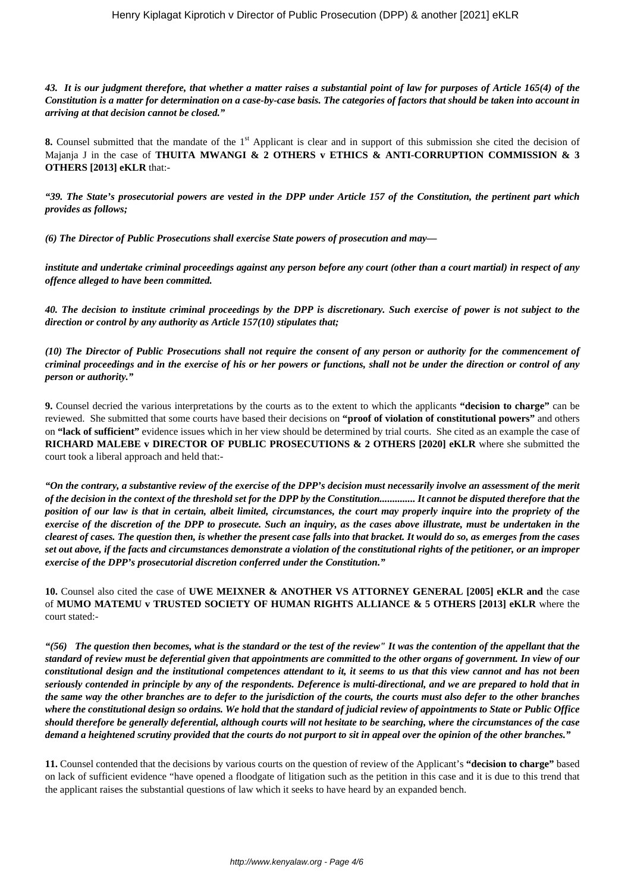*43. It is our judgment therefore, that whether a matter raises a substantial point of law for purposes of Article 165(4) of the Constitution is a matter for determination on a case-by-case basis. The categories of factors that should be taken into account in arriving at that decision cannot be closed."*

**8.** Counsel submitted that the mandate of the 1<sup>st</sup> Applicant is clear and in support of this submission she cited the decision of Majanja J in the case of **THUITA MWANGI & 2 OTHERS v ETHICS & ANTI-CORRUPTION COMMISSION & 3 OTHERS [2013] eKLR** that:-

*"39. The State's prosecutorial powers are vested in the DPP under Article 157 of the Constitution, the pertinent part which provides as follows;*

*(6) The Director of Public Prosecutions shall exercise State powers of prosecution and may—*

*institute and undertake criminal proceedings against any person before any court (other than a court martial) in respect of any offence alleged to have been committed.*

*40. The decision to institute criminal proceedings by the DPP is discretionary. Such exercise of power is not subject to the direction or control by any authority as Article 157(10) stipulates that;*

*(10) The Director of Public Prosecutions shall not require the consent of any person or authority for the commencement of criminal proceedings and in the exercise of his or her powers or functions, shall not be under the direction or control of any person or authority."*

**9.** Counsel decried the various interpretations by the courts as to the extent to which the applicants **"decision to charge"** can be reviewed. She submitted that some courts have based their decisions on **"proof of violation of constitutional powers"** and others on **"lack of sufficient"** evidence issues which in her view should be determined by trial courts. She cited as an example the case of **RICHARD MALEBE v DIRECTOR OF PUBLIC PROSECUTIONS & 2 OTHERS [2020] eKLR** where she submitted the court took a liberal approach and held that:-

*"On the contrary, a substantive review of the exercise of the DPP's decision must necessarily involve an assessment of the merit of the decision in the context of the threshold set for the DPP by the Constitution.............. It cannot be disputed therefore that the position of our law is that in certain, albeit limited, circumstances, the court may properly inquire into the propriety of the exercise of the discretion of the DPP to prosecute. Such an inquiry, as the cases above illustrate, must be undertaken in the clearest of cases. The question then, is whether the present case falls into that bracket. It would do so, as emerges from the cases set out above, if the facts and circumstances demonstrate a violation of the constitutional rights of the petitioner, or an improper exercise of the DPP's prosecutorial discretion conferred under the Constitution."*

**10.** Counsel also cited the case of **UWE MEIXNER & ANOTHER VS ATTORNEY GENERAL [2005] eKLR and** the case of **MUMO MATEMU v TRUSTED SOCIETY OF HUMAN RIGHTS ALLIANCE & 5 OTHERS [2013] eKLR** where the court stated:-

*"(56) The question then becomes, what is the standard or the test of the review" It was the contention of the appellant that the standard of review must be deferential given that appointments are committed to the other organs of government. In view of our constitutional design and the institutional competences attendant to it, it seems to us that this view cannot and has not been seriously contended in principle by any of the respondents. Deference is multi-directional, and we are prepared to hold that in the same way the other branches are to defer to the jurisdiction of the courts, the courts must also defer to the other branches where the constitutional design so ordains. We hold that the standard of judicial review of appointments to State or Public Office should therefore be generally deferential, although courts will not hesitate to be searching, where the circumstances of the case demand a heightened scrutiny provided that the courts do not purport to sit in appeal over the opinion of the other branches."*

**11.** Counsel contended that the decisions by various courts on the question of review of the Applicant's **"decision to charge"** based on lack of sufficient evidence "have opened a floodgate of litigation such as the petition in this case and it is due to this trend that the applicant raises the substantial questions of law which it seeks to have heard by an expanded bench.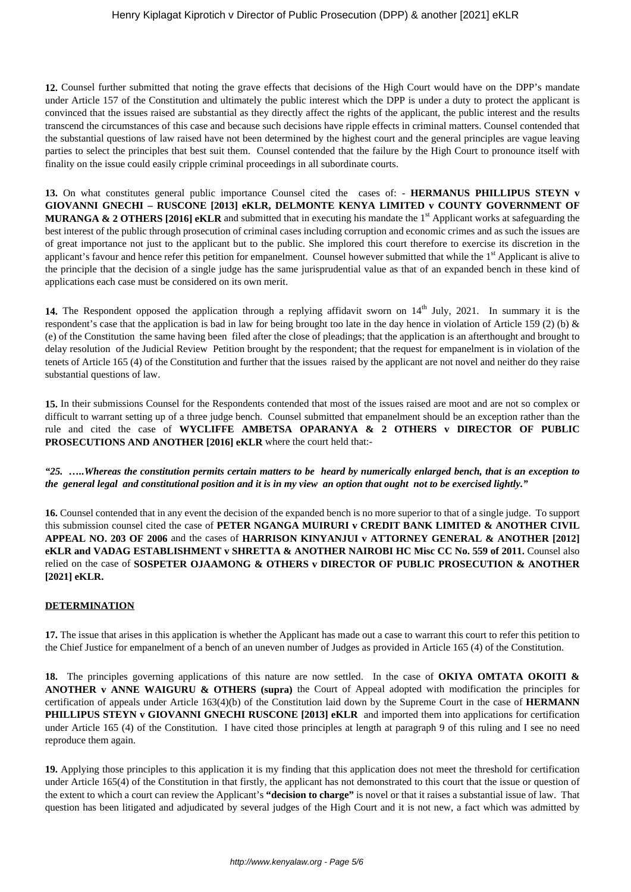12. Counsel further submitted that noting the grave effects that decisions of the High Court would have on the DPP's mandate under Article 157 of the Constitution and ultimately the public interest which the DPP is under a duty to protect the applicant is convinced that the issues raised are substantial as they directly affect the rights of the applicant, the public interest and the results transcend the circumstances of this case and because such decisions have ripple effects in criminal matters. Counsel contended that the substantial questions of law raised have not been determined by the highest court and the general principles are vague leaving parties to select the principles that best suit them. Counsel contended that the failure by the High Court to pronounce itself with finality on the issue could easily cripple criminal proceedings in all subordinate courts.

**13.** On what constitutes general public importance Counsel cited the cases of: - **HERMANUS PHILLIPUS STEYN v GIOVANNI GNECHI – RUSCONE [2013] eKLR, DELMONTE KENYA LIMITED v COUNTY GOVERNMENT OF MURANGA & 2 OTHERS [2016] eKLR** and submitted that in executing his mandate the 1<sup>st</sup> Applicant works at safeguarding the best interest of the public through prosecution of criminal cases including corruption and economic crimes and as such the issues are of great importance not just to the applicant but to the public. She implored this court therefore to exercise its discretion in the applicant's favour and hence refer this petition for empanelment. Counsel however submitted that while the  $1<sup>st</sup>$  Applicant is alive to the principle that the decision of a single judge has the same jurisprudential value as that of an expanded bench in these kind of applications each case must be considered on its own merit.

14. The Respondent opposed the application through a replying affidavit sworn on 14<sup>th</sup> July, 2021. In summary it is the respondent's case that the application is bad in law for being brought too late in the day hence in violation of Article 159 (2) (b) & (e) of the Constitution the same having been filed after the close of pleadings; that the application is an afterthought and brought to delay resolution of the Judicial Review Petition brought by the respondent; that the request for empanelment is in violation of the tenets of Article 165 (4) of the Constitution and further that the issues raised by the applicant are not novel and neither do they raise substantial questions of law.

**15.** In their submissions Counsel for the Respondents contended that most of the issues raised are moot and are not so complex or difficult to warrant setting up of a three judge bench. Counsel submitted that empanelment should be an exception rather than the rule and cited the case of **WYCLIFFE AMBETSA OPARANYA & 2 OTHERS v DIRECTOR OF PUBLIC PROSECUTIONS AND ANOTHER [2016] eKLR** where the court held that:-

*"25. …..Whereas the constitution permits certain matters to be heard by numerically enlarged bench, that is an exception to the general legal and constitutional position and it is in my view an option that ought not to be exercised lightly."*

**16.** Counsel contended that in any event the decision of the expanded bench is no more superior to that of a single judge. To support this submission counsel cited the case of **PETER NGANGA MUIRURI v CREDIT BANK LIMITED & ANOTHER CIVIL APPEAL NO. 203 OF 2006** and the cases of **HARRISON KINYANJUI v ATTORNEY GENERAL & ANOTHER [2012] eKLR and VADAG ESTABLISHMENT v SHRETTA & ANOTHER NAIROBI HC Misc CC No. 559 of 2011.** Counsel also relied on the case of **SOSPETER OJAAMONG & OTHERS v DIRECTOR OF PUBLIC PROSECUTION & ANOTHER [2021] eKLR.**

# **DETERMINATION**

**17.** The issue that arises in this application is whether the Applicant has made out a case to warrant this court to refer this petition to the Chief Justice for empanelment of a bench of an uneven number of Judges as provided in Article 165 (4) of the Constitution.

**18.** The principles governing applications of this nature are now settled. In the case of **OKIYA OMTATA OKOITI & ANOTHER v ANNE WAIGURU & OTHERS (supra)** the Court of Appeal adopted with modification the principles for certification of appeals under Article 163(4)(b) of the Constitution laid down by the Supreme Court in the case of **HERMANN PHILLIPUS STEYN v GIOVANNI GNECHI RUSCONE [2013] eKLR** and imported them into applications for certification under Article 165 (4) of the Constitution. I have cited those principles at length at paragraph 9 of this ruling and I see no need reproduce them again.

**19.** Applying those principles to this application it is my finding that this application does not meet the threshold for certification under Article 165(4) of the Constitution in that firstly, the applicant has not demonstrated to this court that the issue or question of the extent to which a court can review the Applicant's **"decision to charge"** is novel or that it raises a substantial issue of law. That question has been litigated and adjudicated by several judges of the High Court and it is not new, a fact which was admitted by